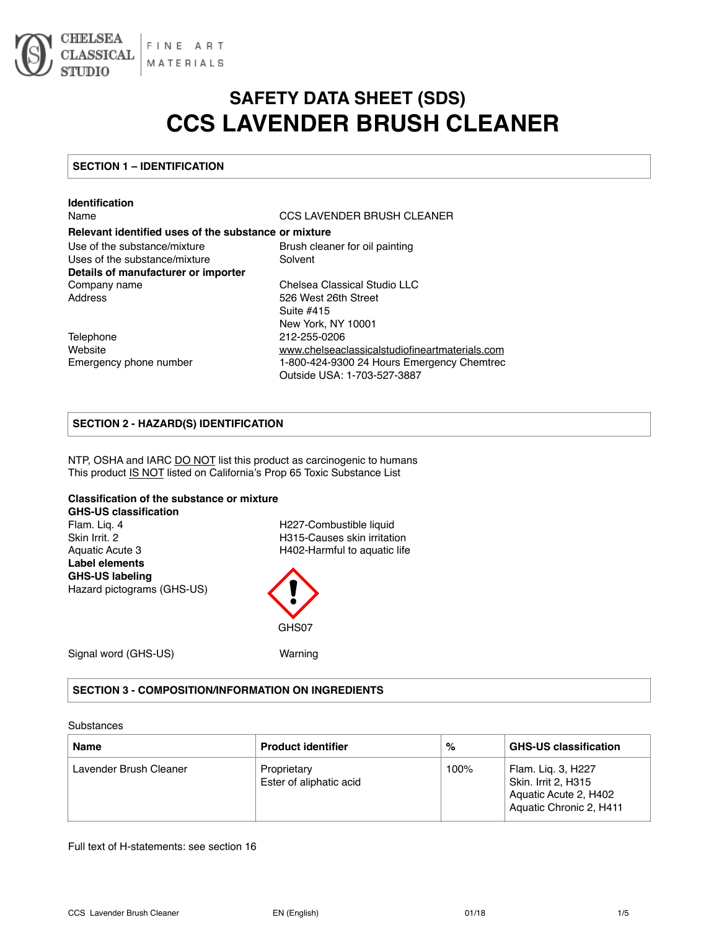

# **SAFETY DATA SHEET (SDS) CCS LAVENDER BRUSH CLEANER**

#### **SECTION 1 – IDENTIFICATION**

| <b>Identification</b>                                |                                                |
|------------------------------------------------------|------------------------------------------------|
| Name                                                 | CCS LAVENDER BRUSH CLEANER                     |
| Relevant identified uses of the substance or mixture |                                                |
| Use of the substance/mixture                         | Brush cleaner for oil painting                 |
| Uses of the substance/mixture                        | Solvent                                        |
| Details of manufacturer or importer                  |                                                |
| Company name                                         | Chelsea Classical Studio LLC                   |
| Address                                              | 526 West 26th Street                           |
|                                                      | Suite #415                                     |
|                                                      | New York, NY 10001                             |
| Telephone                                            | 212-255-0206                                   |
| Website                                              | www.chelseaclassicalstudiofineartmaterials.com |
| Emergency phone number                               | 1-800-424-9300 24 Hours Emergency Chemtrec     |
|                                                      | Outside USA: 1-703-527-3887                    |

#### **SECTION 2 - HAZARD(S) IDENTIFICATION**

NTP, OSHA and IARC DO NOT list this product as carcinogenic to humans This product IS NOT listed on California's Prop 65 Toxic Substance List

#### **Classification of the substance or mixture**

**GHS-US classification**  Flam. Liq. 4 **H227-Combustible liquid** Skin Irrit. 2 **H315-Causes skin irritation** Aquatic Acute 3 H402-Harmful to aquatic life **Label elements GHS-US labeling**  Hazard pictograms (GHS-US)

GHS07

Signal word (GHS-US) Warning

#### **SECTION 3 - COMPOSITION/INFORMATION ON INGREDIENTS**

#### **Substances**

| <b>Name</b>            | <b>Product identifier</b>              | %    | <b>GHS-US classification</b>                                                                  |
|------------------------|----------------------------------------|------|-----------------------------------------------------------------------------------------------|
| Lavender Brush Cleaner | Proprietary<br>Ester of aliphatic acid | 100% | Flam. Lig. 3, H227<br>Skin. Irrit 2, H315<br>Aquatic Acute 2, H402<br>Aquatic Chronic 2, H411 |

Full text of H-statements: see section 16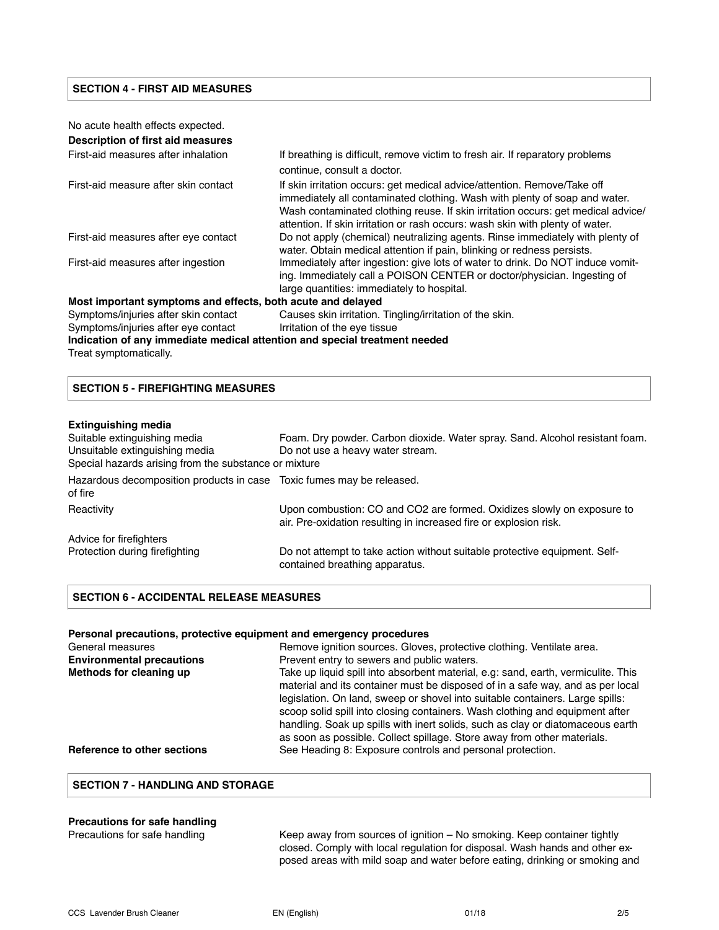#### **SECTION 4 - FIRST AID MEASURES**

| No acute health effects expected.                                          |                                                                                                                                                                                                                                                                                                                             |
|----------------------------------------------------------------------------|-----------------------------------------------------------------------------------------------------------------------------------------------------------------------------------------------------------------------------------------------------------------------------------------------------------------------------|
| Description of first aid measures                                          |                                                                                                                                                                                                                                                                                                                             |
| First-aid measures after inhalation                                        | If breathing is difficult, remove victim to fresh air. If reparatory problems<br>continue, consult a doctor.                                                                                                                                                                                                                |
| First-aid measure after skin contact                                       | If skin irritation occurs: get medical advice/attention. Remove/Take off<br>immediately all contaminated clothing. Wash with plenty of soap and water.<br>Wash contaminated clothing reuse. If skin irritation occurs: get medical advice/<br>attention. If skin irritation or rash occurs: wash skin with plenty of water. |
| First-aid measures after eye contact                                       | Do not apply (chemical) neutralizing agents. Rinse immediately with plenty of<br>water. Obtain medical attention if pain, blinking or redness persists.                                                                                                                                                                     |
| First-aid measures after ingestion                                         | Immediately after ingestion: give lots of water to drink. Do NOT induce vomit-<br>ing. Immediately call a POISON CENTER or doctor/physician. Ingesting of<br>large quantities: immediately to hospital.                                                                                                                     |
| Most important symptoms and effects, both acute and delayed                |                                                                                                                                                                                                                                                                                                                             |
| Symptoms/injuries after skin contact                                       | Causes skin irritation. Tingling/irritation of the skin.                                                                                                                                                                                                                                                                    |
| Symptoms/injuries after eye contact                                        | Irritation of the eye tissue                                                                                                                                                                                                                                                                                                |
| Indication of any immediate medical attention and special treatment needed |                                                                                                                                                                                                                                                                                                                             |
| Treat symptomatically.                                                     |                                                                                                                                                                                                                                                                                                                             |

#### **SECTION 5 - FIREFIGHTING MEASURES**

#### **Extinguishing media**

| Suitable extinguishing media<br>Unsuitable extinguishing media<br>Special hazards arising from the substance or mixture | Foam. Dry powder. Carbon dioxide. Water spray. Sand. Alcohol resistant foam.<br>Do not use a heavy water stream.                            |
|-------------------------------------------------------------------------------------------------------------------------|---------------------------------------------------------------------------------------------------------------------------------------------|
| Hazardous decomposition products in case Toxic fumes may be released.<br>of fire                                        |                                                                                                                                             |
| Reactivity                                                                                                              | Upon combustion: CO and CO2 are formed. Oxidizes slowly on exposure to<br>air. Pre-oxidation resulting in increased fire or explosion risk. |
| Advice for firefighters                                                                                                 |                                                                                                                                             |
| Protection during firefighting                                                                                          | Do not attempt to take action without suitable protective equipment. Self-<br>contained breathing apparatus.                                |

#### **SECTION 6 - ACCIDENTAL RELEASE MEASURES**

| Personal precautions, protective equipment and emergency procedures |                                                                                                                                                                                                                                                                                                                                                                                                                                                                                                   |  |
|---------------------------------------------------------------------|---------------------------------------------------------------------------------------------------------------------------------------------------------------------------------------------------------------------------------------------------------------------------------------------------------------------------------------------------------------------------------------------------------------------------------------------------------------------------------------------------|--|
| General measures                                                    | Remove ignition sources. Gloves, protective clothing. Ventilate area.                                                                                                                                                                                                                                                                                                                                                                                                                             |  |
| <b>Environmental precautions</b>                                    | Prevent entry to sewers and public waters.                                                                                                                                                                                                                                                                                                                                                                                                                                                        |  |
| Methods for cleaning up                                             | Take up liquid spill into absorbent material, e.g. sand, earth, vermiculite. This<br>material and its container must be disposed of in a safe way, and as per local<br>legislation. On land, sweep or shovel into suitable containers. Large spills:<br>scoop solid spill into closing containers. Wash clothing and equipment after<br>handling. Soak up spills with inert solids, such as clay or diatomaceous earth<br>as soon as possible. Collect spillage. Store away from other materials. |  |
| Reference to other sections                                         | See Heading 8: Exposure controls and personal protection.                                                                                                                                                                                                                                                                                                                                                                                                                                         |  |

#### **SECTION 7 - HANDLING AND STORAGE**

# **Precautions for safe handling**

Keep away from sources of ignition – No smoking. Keep container tightly closed. Comply with local regulation for disposal. Wash hands and other exposed areas with mild soap and water before eating, drinking or smoking and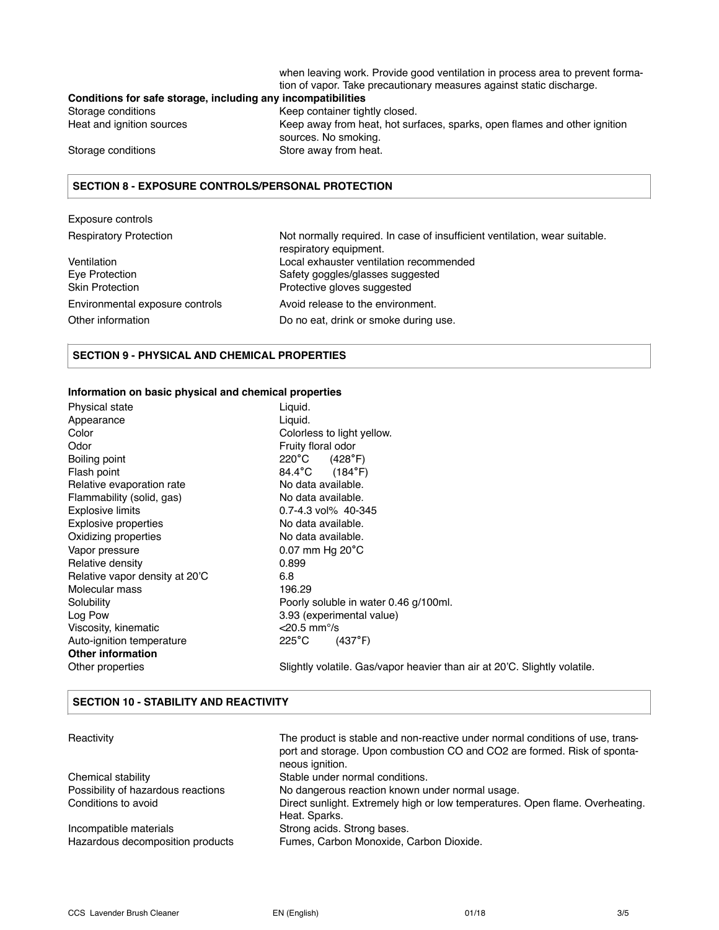when leaving work. Provide good ventilation in process area to prevent formation of vapor. Take precautionary measures against static discharge.

## **Conditions for safe storage, including any incompatibilities**  Storage conditions **Keep container tightly closed.**

Heat and ignition sources Keep away from heat, hot surfaces, sparks, open flames and other ignition sources. No smoking. Storage conditions Store away from heat.

#### **SECTION 8 - EXPOSURE CONTROLS/PERSONAL PROTECTION**

#### Exposure controls Respiratory Protection **Not normally required.** In case of insufficient ventilation, wear suitable. respiratory equipment. Ventilation Local exhauster ventilation recommended Eye Protection Safety goggles/glasses suggested Skin Protection **Protective gloves suggested** Environmental exposure controls exposure Avoid release to the environment. Other information Do no eat, drink or smoke during use.

#### **SECTION 9 - PHYSICAL AND CHEMICAL PROPERTIES**

#### **Information on basic physical and chemical properties**

**SECTION 10 - STABILITY AND REACTIVITY**

| Physical state                 | Liquid.                                                                   |
|--------------------------------|---------------------------------------------------------------------------|
| Appearance                     | Liguid.                                                                   |
| Color                          | Colorless to light yellow.                                                |
| Odor                           | Fruity floral odor                                                        |
| Boiling point                  | $220^{\circ}$ C<br>(428°F)                                                |
| Flash point                    | $84.4^{\circ}$ C<br>(184°F)                                               |
| Relative evaporation rate      | No data available.                                                        |
| Flammability (solid, gas)      | No data available.                                                        |
| <b>Explosive limits</b>        | 0.7-4.3 vol% 40-345                                                       |
| <b>Explosive properties</b>    | No data available.                                                        |
| Oxidizing properties           | No data available.                                                        |
| Vapor pressure                 | $0.07$ mm Hg $20^{\circ}$ C                                               |
| Relative density               | 0.899                                                                     |
| Relative vapor density at 20'C | 6.8                                                                       |
| Molecular mass                 | 196.29                                                                    |
| Solubility                     | Poorly soluble in water 0.46 g/100ml.                                     |
| Log Pow                        | 3.93 (experimental value)                                                 |
| Viscosity, kinematic           | $<$ 20.5 mm <sup>o</sup> /s                                               |
| Auto-ignition temperature      | $225^{\circ}$ C<br>(437°F)                                                |
| <b>Other information</b>       |                                                                           |
| Other properties               | Slightly volatile. Gas/vapor heavier than air at 20'C. Slightly volatile. |

### Reactivity **The product is stable and non-reactive under normal conditions of use, trans**port and storage. Upon combustion CO and CO2 are formed. Risk of spontaneous ignition. Chemical stability **Stable under normal conditions.** Possibility of hazardous reactions No dangerous reaction known under normal usage. Conditions to avoid Direct sunlight. Extremely high or low temperatures. Open flame. Overheating. Heat. Sparks. Incompatible materials Strong acids. Strong bases. Hazardous decomposition products Fumes, Carbon Monoxide, Carbon Dioxide.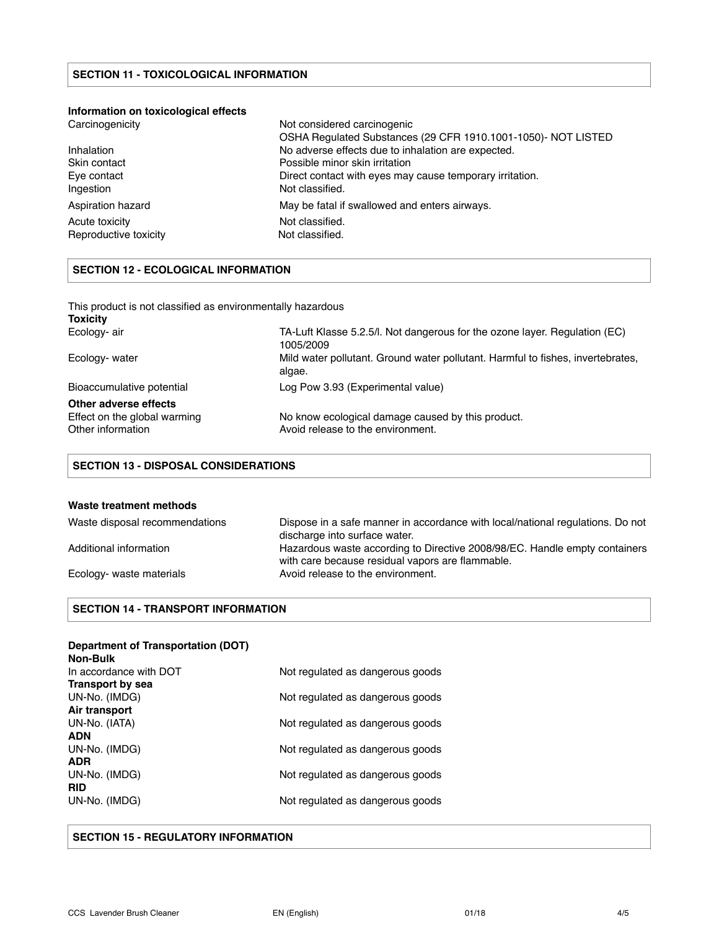#### **Information on toxicological effects**

| Carcinogenicity       | Not considered carcinogenic                                   |
|-----------------------|---------------------------------------------------------------|
|                       | OSHA Regulated Substances (29 CFR 1910.1001-1050)- NOT LISTED |
| Inhalation            | No adverse effects due to inhalation are expected.            |
| Skin contact          | Possible minor skin irritation                                |
| Eye contact           | Direct contact with eyes may cause temporary irritation.      |
| Ingestion             | Not classified.                                               |
| Aspiration hazard     | May be fatal if swallowed and enters airways.                 |
| Acute toxicity        | Not classified.                                               |
| Reproductive toxicity | Not classified.                                               |

#### **SECTION 12 - ECOLOGICAL INFORMATION**

| This product is not classified as environmentally hazardous<br><b>Toxicity</b> |                                                                                           |
|--------------------------------------------------------------------------------|-------------------------------------------------------------------------------------------|
| Ecology- air                                                                   | TA-Luft Klasse 5.2.5/l. Not dangerous for the ozone layer. Regulation (EC)<br>1005/2009   |
| Ecology- water                                                                 | Mild water pollutant. Ground water pollutant. Harmful to fishes, invertebrates,<br>algae. |
| Bioaccumulative potential                                                      | Log Pow 3.93 (Experimental value)                                                         |
| Other adverse effects                                                          |                                                                                           |
| Effect on the global warming<br>Other information                              | No know ecological damage caused by this product.<br>Avoid release to the environment.    |

#### **SECTION 13 - DISPOSAL CONSIDERATIONS**

#### **Waste treatment methods**

| Waste disposal recommendations | Dispose in a safe manner in accordance with local/national regulations. Do not<br>discharge into surface water.                |
|--------------------------------|--------------------------------------------------------------------------------------------------------------------------------|
| Additional information         | Hazardous waste according to Directive 2008/98/EC. Handle empty containers<br>with care because residual vapors are flammable. |
| Ecology- waste materials       | Avoid release to the environment.                                                                                              |

### **SECTION 14 - TRANSPORT INFORMATION**

#### **Department of Transportation (DOT)**

| Non-Bulk               |                                  |
|------------------------|----------------------------------|
| In accordance with DOT | Not regulated as dangerous goods |
| Transport by sea       |                                  |
| UN-No. (IMDG)          | Not regulated as dangerous goods |
| Air transport          |                                  |
| UN-No. (IATA)          | Not regulated as dangerous goods |
| <b>ADN</b>             |                                  |
| UN-No. (IMDG)          | Not regulated as dangerous goods |
| <b>ADR</b>             |                                  |
| UN-No. (IMDG)          | Not regulated as dangerous goods |
| <b>RID</b>             |                                  |
| UN-No. (IMDG)          | Not regulated as dangerous goods |
|                        |                                  |

#### **SECTION 15 - REGULATORY INFORMATION**